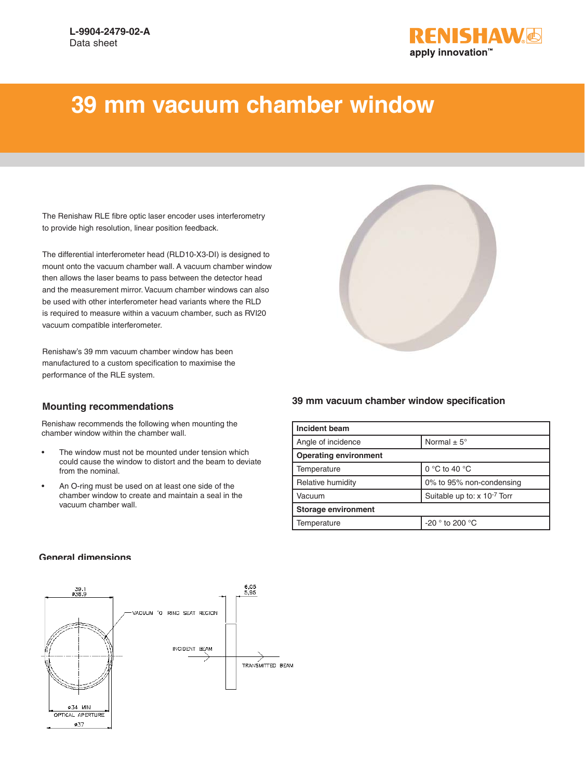

## **39 mm vacuum chamber window**

The Renishaw RLE fibre optic laser encoder uses interferometry to provide high resolution, linear position feedback.

The differential interferometer head (RLD10-X3-DI) is designed to mount onto the vacuum chamber wall. A vacuum chamber window then allows the laser beams to pass between the detector head and the measurement mirror. Vacuum chamber windows can also be used with other interferometer head variants where the RLD is required to measure within a vacuum chamber, such as RVI20 vacuum compatible interferometer.

Renishaw's 39 mm vacuum chamber window has been manufactured to a custom specification to maximise the performance of the RLE system.

## **Mounting recommendations**

Renishaw recommends the following when mounting the chamber window within the chamber wall.

- The window must not be mounted under tension which could cause the window to distort and the beam to deviate from the nominal.
- An O-ring must be used on at least one side of the chamber window to create and maintain a seal in the vacuum chamber wall.



| <b>Incident beam</b>         |                                    |
|------------------------------|------------------------------------|
| Angle of incidence           | Normal $\pm$ 5°                    |
| <b>Operating environment</b> |                                    |
| Temperature                  | 0 $\degree$ C to 40 $\degree$ C    |
| Relative humidity            | 0% to 95% non-condensing           |
| Vacuum                       | Suitable up to: x 10-7 Torr        |
| <b>Storage environment</b>   |                                    |
| Temperature                  | -20 $^{\circ}$ to 200 $^{\circ}$ C |

## **General dimensions**